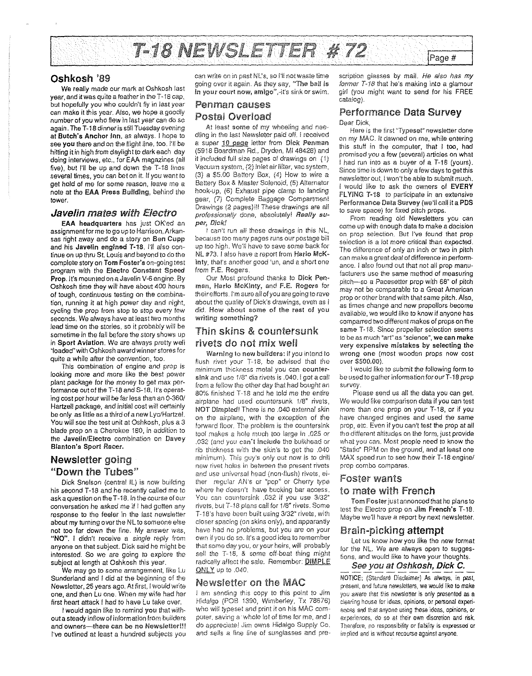

## Oshkosh '89

We really made our mark at Oshkosh last year, and it was quite a feather in the T -18 cap, but hopefully you who couldn't fly in last year can make it this year. Also, we hope a goodly number of you who flew in last year can do so again. The T-18 dinner is still Tuesday evening at Butch's Anchor Inn, as always. I hope to see you there and on the fIlght line, *too.* !'Il be hitting itin high from daylight to dark each day doing interviews, etc., for EAA magazines (all five), but I'll be up and down the T-18 lines several times, you can bot on it If you want to get hold of me tor some reason, leave me a note at the EAA Prese Building, behind the tower.

#### Javelin mates with Electro

EAA headquarters has just OK'ed an assignment for me to go up to Harnson,Arkansas right away and do a story on Ben Cupp and his Javelin engined T-18, I'll also continue on up thru Sf. Louis and beyond to do the complete story on Tom Foster's on-going test program with the Electro Constant Speed Prop. It's mounted on a Javelin V-6 engine. By Oshkosh time they will have about 400 hours of tough, continuous testing on the combination, running it at high power day and night, cycling the prop from stop to stop every few seconds. We always have at least two months lead time on the stories, so it probably will be sometime in the fall before the story shows up in Sport Aviation. We are always pretty well ~Ioaded~wjth Oshkosh award winner stores for quite a while after the convention, too.

This combination of engine and prop is looking more and more like the best power plant package for the money to get max performance out of the T-18 and S-18. It's operating cost per hour will be far less than an 0-360/ Hartzell package, and initial cost will certainly be only as little as a third of a new Lyc/Hartzel. You will see the test unit at Oshkosh, plus a 3 blade prop on a Cherokee 180, in addition to the Javelin/Electro combination on Davey Blanton's Sport Racer.

## Newsletter going "Down the Tubes"

Dick Snelson (central IL) is now building his second T-18 and he recently called me to aska question on the T -18.ln the course of Our conversation he asked me if I had gotten any response to the feeler in the last newsletter about my turning overthe Nl to someone else not too far down the line, My answer was, "NO". I didn't receive a single reply from anyone on that subject. Dick said he might be interested. So we are going to explore the subject at length at Oshkosh this year.

We may go to some arrangement, like Lu Sunderland and I did at the beginning of the Newsletter, 25 years ago. At first, ! would write one, and then Lu one. When my wife had her first heart attack I had to have Lu take over.

I would again like to remind you that withouta steady inflow of information from builders and owners-there can be no Newsletter!!! I've outlined at least a hundred subjects you

can write on in past NL's, so I'll not waste time going over it again. As they say, "The ball is in your court now, amigo",-it's sink or swim.

# Penman causes Postal Overload

At least some of my wheeling and needling in the last Newsleter paid off. I received a super 10 page letter from Dick Penman (5918 Boardman Rd., Dryden, MI 48428) and it included full size pages of drawings on (1) Vacuum system, (2) Inlet air filter, vac system,  $(3)$  a \$5,00 Battery Box,  $(4)$  How to wire a Battery Box & Master Solenoid, (5) Alternator hook~up, (6) Exhaust pipe clamp to landing gear, (7) Complete Baggage Compartment Drawings (2 pages)!!! These drawings are all professionally done, absolutely! Really super, Dick!

can't run all these drawings in this NL, because too many pages runs our postage bill up too high, We'll have to save some back for NL #73. ! also have a report from Harlo McKinty, that's another good 'un, and a short one from F.E. Rogers.

Our Most profound thanks to Dick Penman, Harlo McKinty, and F.E. Rogers for their efforts. I'm sure all of you are going to rave about the quality of Dick's drawings, even as I did. How about some of the rest of you writing something?

# Thin skins & rivets do not mix well

Warning to new builders: If you intend to flush rivet your T-18, be advised that the minimum thickness metal you can countersink and use 1/8" dia rivets is .040, [got a call from a fellow the other day that had bought an 80% finished T-18 and he told me the entire airplane had used countersunk 1/8" rivets, NOT Dlmp!ed! There is no ,040 external skin on the airplane, with the exception of the forward floor. The problem is the countersink too! makes a hole much too targe in .025 or .032 (and you can't include the bulkhead or rib thickness with the skin's to get the .040 minimum). This guy's only out now is to drill new rivet holes in between the present rivets and use universal head (non-flush) rivets, either regular AN's or "pop" or Cherry type where he doesn't have bucking bar access. You can countersink ,032 if you use 3/32" rivets, but T-18 plans call for 1/8" rivets. Some T-18's have been built using 3/32~ rivets, with doser spacing (on skins only), and apparantly have had no problems, but you are on your own jf you do so. It's a good idea to remember that *some* day you, or your heirs, will probably sell the T-18, & some off-beat thing might radically affect the sale. Remember: **DIMPLE** ONLY up to .040,

#### Newsletter on the MAC

I am sending this copy to this paint to Jim Hidalgo (POB 1390, Wimberley, Tx 78676) who will typeset and print it on his MAC computer, saving a whole lot of time for me, and I do appreciate! Jim owns Hidalgo Supply Co. and sells a fine line of sunglasses and pre-

scription glasses by mail. He also has my former T-18 that he's making into a glamour girl (you might want to send for his FREE catalog).

#### Performance Data Survey Dear Dick,

Here is the first "Typeset" newsletter done on my MAC. It dawned on me, while entering this stuff in the computer, that I too, had promised you a few (several) articles on what I had run into as a buyer of a T-18 (yours). Since time is down to only a few days to get this news!etterout, I won't be able to submit much. I would like to ask the owners of EVERY FLYING T~18 to participate in an extensive Performance Data Survey (we'll call it a PDS to save space) for fixed pitch props.

From reading old Newsletters you can come up with enough data to make a decision on prop selection. But I've found that prop selection is a lot more critical than expected. The difference of only an inch or two in pitch can make a great deal of difference in performance. I also found out that not all prop manufacturers use the same method of measuring pitch-so a Pacesetter prop with 68~ of pitch may not be comparable to a Great American prop or other brand with that same pitch. Also, as times change and new propellors become available, we would like to know jf anyone has comparred two different makes of props on the same T-18, Since propeller selection seems to be as much "art" as "science", we can make very expensive mistakes by selecting the wrong one (most wooden props now cost over \$500.00)

l would Ilke to submit the following form to be used to gather information for our T-18 prop survey.

Please send us all the data you can get. We would like comparison data jf you can test more than one prop on your T-18, or if you have changed engines and used the same prop, etc. Even if you can't test the prop at all the different altitudes on the form, just provide what you can, Most people need to know the ~Staflc~ RPM on the ground, and at least one MAX speed run to see how their T-18 engine/ prop combo compares.

## **Foster wants**

## to mate with French

Tom Foster justannonced that he plans to test the Electro prop on Jim French's T-18. Maybe we'ij have a report by next newsletter.

## Brain-picking attempt

Let us know how you like the new format for the NL. We are always open to suggestions, and would like to have your thoughts.

#### See you at OShkosh, Dick C.

NOTICE: (Standard Disclaimer) As always, in past, present, and future newsletters, we would like to make you aware that this newsletter is only presented as a clearing house for ideas, opinions, or personal experiences and that anyone using these ideas, opinions, or experiences, do so at their own discretion and risk Therefore, no responsibility or liability is expressed or implied and is without recourse against anyone.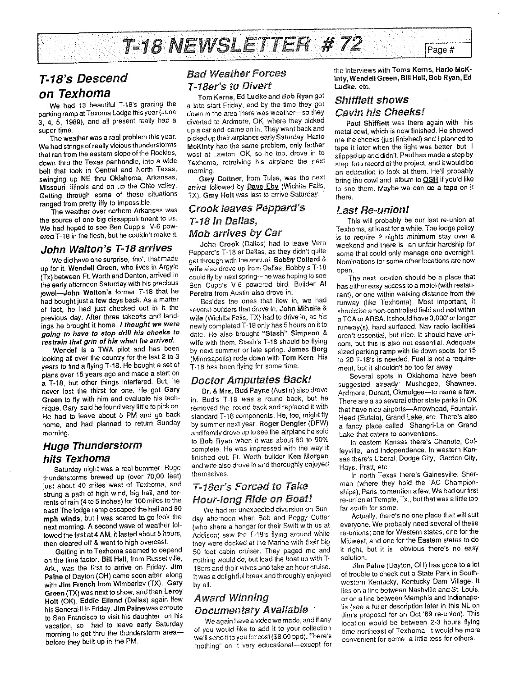

# T-18's Descend on Texhoma

We had 13 beautiful T-18's gracing the parking ramp at Texoma Lodge this year (June 3, 4, 5, 1989), and all present really had a super time.

The weather was a real problem this year. We had strings of really vicious thunderstorms that ran from the eastern slope of the Rockies, down thru the Texas panhandle, into a wide belt that took in Central and North Texas, swinging up NE thru Oklahoma, Arkansas, Missouri, Illinois and on up the Ohio valley. Getting through some of these situations ranged from pretty iffy to impossible.

The weather over nothern Arkansas was the source of one big dissappointment to us. We had hoped to see Ben Cupp's V-6 powered T-18 in the flesh, but he couldn't make it.

## John Walton's T-18 arrives

We did have one surprise, tho', that made up for it. Wendell Green, who lives in Argyle (Tx) between Ft. Worth and Denton, arrived in the early afternoon Saturday with his precious jewel-John Walton's former T-18 that he had bought just a few days back. As a matter of fact, he had just checked out in it the previous day. After three takeoffs and landings he brought it home. *I thought we were going to have to stop drill his cheeks to restrain that grin* of *his when he arrived.* 

Wendell is a TWA pilot and has been looking all over the country for the last 2 to 3 years to find a flying T~18. He bought a set of plans over 15 years ago and made a start on a T-18, but other things interfered. But, he never lost the thirst for one. He got Gary Green to fly with him and evaluate his technique. Gary said he found very little to pick on. He had to leave about 5 PM and go back home, and had planned to return Sunday morning.

## Huge Thunderstorm hits Texhoma

Saturday night was a real bummer. Huge thunderstorms brewed up (over 70,00 feet) just about 40 miles west of Texhoma, and strung a path of high wind, big hail, and torrents of rain (4 to 5 inches) for 100 miles to the east! The lodge ramp escaped the hail and 80 mph winds, but I was scared to go look the next morning. A second wave of weather followed the first at 4 AM, it lasted about 5 hours, then cleared off & went to high overcast.

Getting in to Texhoma seemed to depend on the time factor. Bill Hall, from Russellville, Ark., was the first to arrive on Friday. Jim Palne of Dayton (OH) came soon after, along with Jim French from Wimberley (TX). Gary Green (TX) was next to show, and then Leroy Holt (OK). Eddie Eiland (Dallas) again flew his Sonerai II in Friday. Jim Palne was enroute to San Francisco to visit his daughter on his vacation, so had to leave early Saturday morning to get thru the thunderstorm areabefore they built up in the PM.

# Bad Weather Forces T-18er's to Divert

Tom Kerns, Ed Ludke and Bob Ryan got a late start Friday, and by the time they got down in the area there was weather-so they diverted to Ardmore, OK, where they picked up a car and came on in. They went back and picked up their airplanes early Saturday. Harlo McKinty had the same problem, only farther west at Lawton, OK, so he too, drove in to Texhoma, retreiving his airplane the next morning.

Gary Cottner, from Tulsa, was the next arrival followed by **Dave Eby** (Wichita Falls, TX). Gary Holt was last to arrive Saturday.

# Crook leaves Peppard's T·18 in Dallas, Mob arrives by Car

John Crook (Dallas) had to leave Vern Peppard's T-18 at Dallas, as they didn't quite get through with the annual. Bobby Collard & wife also drove up from Dallas. Bobby's T~18 could fly by next spring-he was hoping to see Ben Cupp's V~6 powered bird. Builder AI Pereira from Austin also drove in.

Besides the ones that flew in, we had several builders that drove in. John Mihaila & wife (Wichita Falls, TX) had to drive in, as his newly completed T-18 only has 5 hours on Itto date. He also brought "Stash" Simpson & wife with them. Stash's T-18 should be flying by next summer or late spring. James Borg (Minneapolis) rode down with Tom Kern< His T-18 has been flying for some time<

## Doctor Amputates Back!

Dr. & Mrs. Bud Payne (Austin) also drove in. Bud's T-18 *was* a round back, but he removed the round back and replaced it with standard T-18 components, He, too, might fly by summer next year. Roger Dengler (DFW) and family drove up to see the airplane he sold to Bob Ryan when it was about 80 to 90% complete. He was impressed with the way It finished out. Ft. Worth builder Ken Morgan and wife also drove in and thoroughly enjoyed themselves.

# T-18er's Forced to Take Hour-long Ride on Boat!

We had an unexpected diversion on Sunday afternoon when Bob and Peggy Cutter (who share a hangar for their Swift with us at Addison) saw the T-18's flYing around while they were docked at the Marina with their big 50 foot cabin cruiser. They paged me and nothing would do, but load the boat up with T-18ers and their wives and take an hour cruise. !t was a delightful break and throughly enjoyed by all.

# Award Winning Documentary Available

We again have a video we made, andif any of you would like to add it to your collection we'll send it to you for cost (\$8.00 ppd). There's "nothing" on it very educational-except for

the interviews with Toms Kerns, Harlo McKinty, Wendell Green, Bill Hall, Bob Ryan, Ed Ludke, etc.

## Shifflett shows Cavin his Cheeks!

Paul Shifflett was there again with his metal cowl, which is now finished. He showed me the cheeks (just finished) and I planned to tape it later when the light was better, but I slipped up and didn't. Paul has made a step by step foto record of the project, and it would be an education to look at them. He'll probably bring the cowl and album to OSH if you'd like to see them. Maybe we can do a tape on it there.

## Last Re-union!

This wi!! probably be our last re-union at Texhoma, atieast for a while. The lodge policy is to require 2 nights minimum stay over a weekend and there is an unfair hardship for some that could only manage one overnight. Nominations for some other locations are now open.

The next location should be a place that has either easy access to a motel (with restaurant), or one within walking distance from the runway (like Texhoma). Most important, It should be a non-controlled field and not within a TCAor ARSA. Itshould have 3,000' or longer runway(s), hard surfaced. Nav radio facilities aren't essential, but nice. It should have unicom, but this is also not essential. Adequate sized parking ramp with tie down spots for 15 to 20 T-18's is needed. Fuel is not a requirement, but it shouldn't be too far away.

Several spots in Oklahoma have been suggested already: Mushogee, Shawnee, Ardmore, Durant, Okmulgee-to name a few. There are also several other state parks in OK that have nice airports-Arrowhead, Fountain Head (Eufala), Grand Lake, etc. There's also a fancy place called Shangri-La on Grand Lake that caters to conventions.

In eastern Kansas there's Chanute, Coffeyville, and Independence. In western Kansas there's Liberal, Dodge City, Garden City, Hays, Pratt, etc,

In north Texas there's Gainesville, Sherman (where they hold the lAC Championships), Paris, to mention a few. We had ourfirst re-union at Temple, Tx., butthatwas a little too far south for some.

Actually, there's no one place that will suit everyone. We probably need several of these re-unions; one for Westem states, one for the Midwest, and one for the Eastem states to do it right, but it is obvious there's no easy solution.

Jim Paine (Dayton, OH) has gone to a lot of trouble to check out a State Park in Southwestern Kentucky, Kentucky Dam Village. It lies on a line between Nashville and S1. Louis, or on a line between Memphis and Indianapolis (see a fuller description later in this NL on Jim's proposal for an Oct '89 re-union). This location would be between 2-3 hours fiymg time northeast of Texhoma. It would be more convenient for some, a little less for others.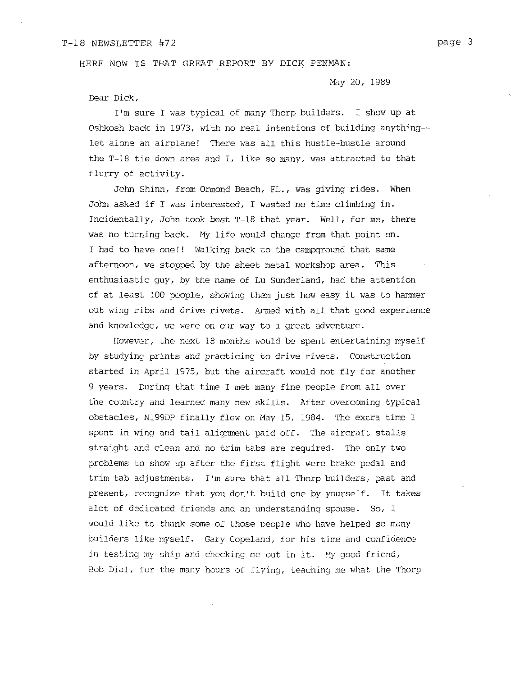HERE NOW IS THAT GREAT REPORT BY DICK PENMAN:

May 20, 1989

Dear Dick,

I'm sure I was typical of many Thorp builders. I show up at Oshkosh back in 1973, with no real intentions of building anything- $$ let alone an airplane! There was all this hustle-bustle around the T-18 tie down area and I, like so many, was attracted to that flurry of activity.

John Shinn, from Ormond Beach, FL., was giving rides. When John asked if I was interested, I wasted no time Climbing in. Incidentally, John took best T-18 that year. Well, for me, there was no turning back. My life would change from that point on. I had to have one!! Walking back to the campground that same afternoon, we stopped by the sheet metal workshop area. This enthusiastic guy, by the name of Lu Sunderland, had the attention of at least 100 people, showing them just how easy it was to hammer out wing ribs and drive rivets. Armed with all that good experience and knowledge, we were on our way to a great adventure.

However, the next 18 months would be spent entertaining myself by studying prints and practicing to drive rivets. Construction started in April 1975, but the aircraft would not fly for another 9 years. During that time I met many fine people from all over the country and learned many new skills. After overcoming typical obstacles, N199DP finally flew on May 15, 1984. The extra time I spent in wing and tail alignment paid off. The aircraft stalls straight and clean and no trim tabs are required. The only two problems to show up after the first flight were brake pedal and trim tab adjustments. I'm sure that all Thorp builders, past and present, recognize that you don't build one by yourself. It takes alot of dedicated friends and an understanding spouse. So, I would like to thank some of those people who have helped so many builders like myself. Gary Copeland, for his time and confidence in testing my ship and checking me out in it. Ny good friend, Bob Dial, for the many hours of flying, teaching me what the Thorp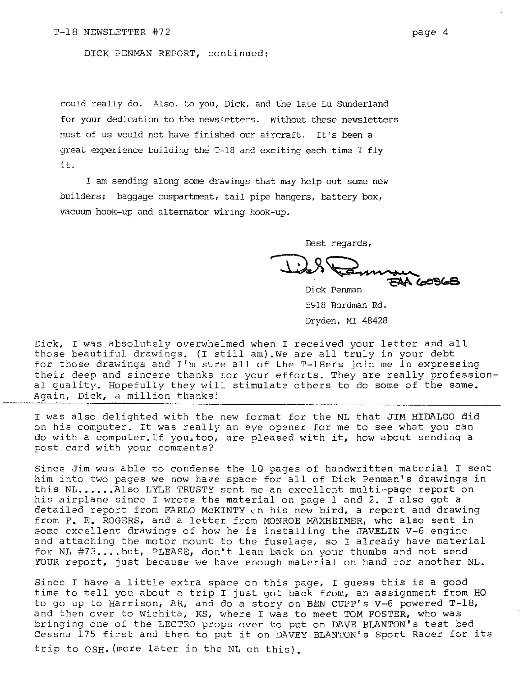#### DICK PENMAN REPORT, continued:

could really do. Also, to you, Dick, and the late Lu Sunderland for your dedication to the newsletters. Without these newsletters most of us would not have finished our aircraft. It's been a great experience building the T-18 and exciting each time I fly it.

I am sending along some drawings that may help out some new builders; baggage compartment, tail pipe hangers, battery box, vacuum hook-up and alternator wiring hook-up.

Best regards,

Best regards, Dick Penman **ENA 6036B** 

5918 Bordman Rd. Dryden, MI 48428

Dick, I was absolutely overwhelmed when I received your letter and all those beautiful drawings. (I still am).We are all truly in your debt for those drawings and I'm sure all of the T-18ers join me in expressing their deep and sincere thanks for your efforts. They are really professional quality. Hopefully they will stimulate others to do some of the same. Again, Dick, a million thanks!

I was also delighted with the new format for the NL that JIM HIDALGO did on his computer. It was really an eye opener for me to see what you can do with a computer.If you,too, are pleased with it, how about sending a post card with your comments?

Since Jim was able to condense the 10 pages of handwritten material I sent him into two pages we now have space for all of Dick Penman's drawings in this NL......Also LYLE TRUSTY sent me an excellent multi-page report on his airplane since I wrote the material on page 1 and 2. I also got a detailed report from RARLO McKINTY en his new bird, a report and drawing from F. E. ROGERS, and a letter from MONROE MAXHEIMER, who also sent in some excellent drawings of how he is installing the JAVELIN V-6 engine and attaching the motor mount to the fuselage, so I already have material for NL #73....but, PLEASE, don't lean back on your thumbs and not send YOUR report, just because we have enough material on hand for another NL.

Since I have a little extra space on this page, I guess this is a good time to tell you about a trip I just got back from, an assignment from HQ to go up to Harrison, AR, and do a story on BEN CUPP's V-6 powered T-18, and then over to Wichita, KS, where I was to meet TOM FOSTER, who was bringing one of the LECTRO props over to put on DAVE BLANTON's test bed Cessna 175 first and then to put it on DAVEY BLANTON's Sport Racer for its trip to OSH. (more later in the NL on this).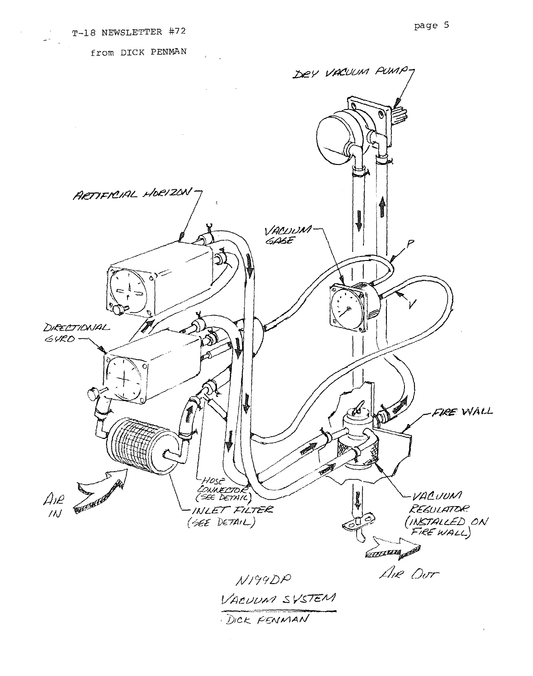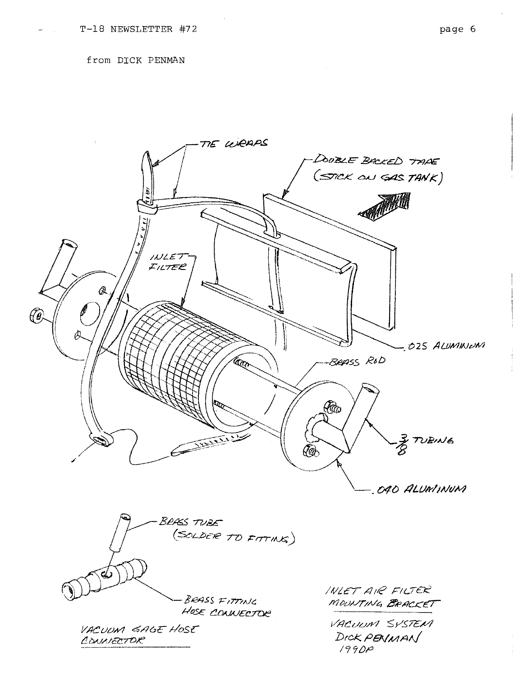from DICK PENMAN

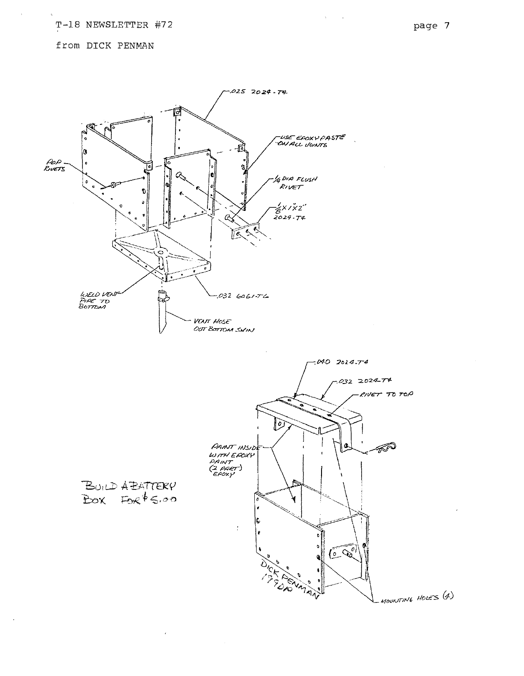from DICK PENMAN

 $\epsilon$ 



 $\epsilon$ 

 $\mathcal{N}(\mathcal{N})$  , where  $\mathcal{N}(\mathcal{N})$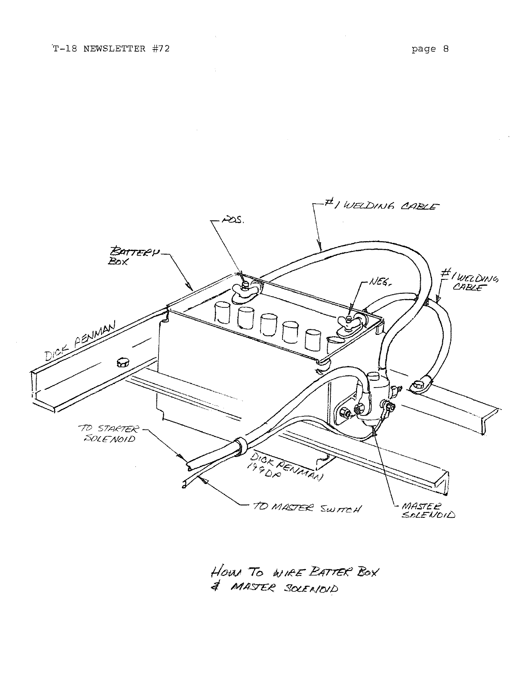

HOW TO WIRE BATTER BOX & MASTER SOLENDID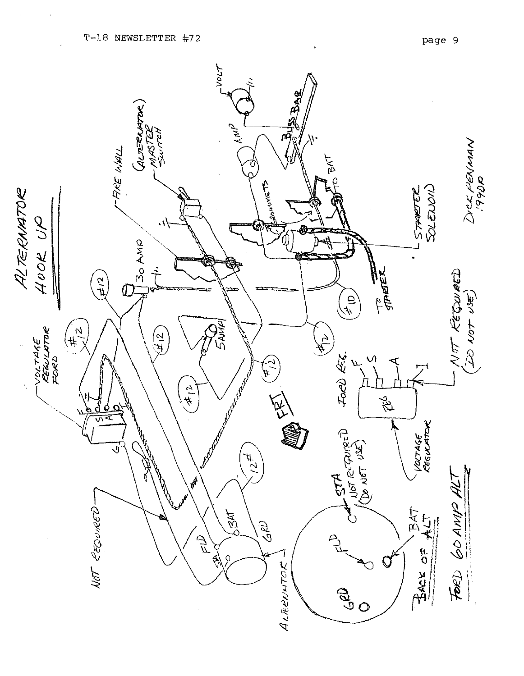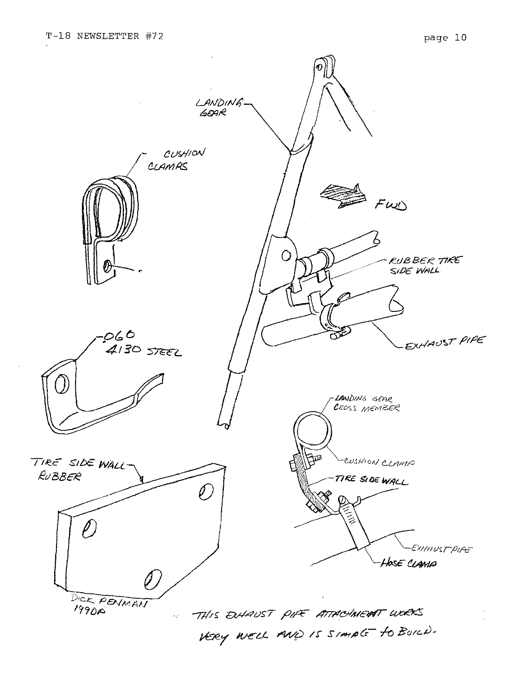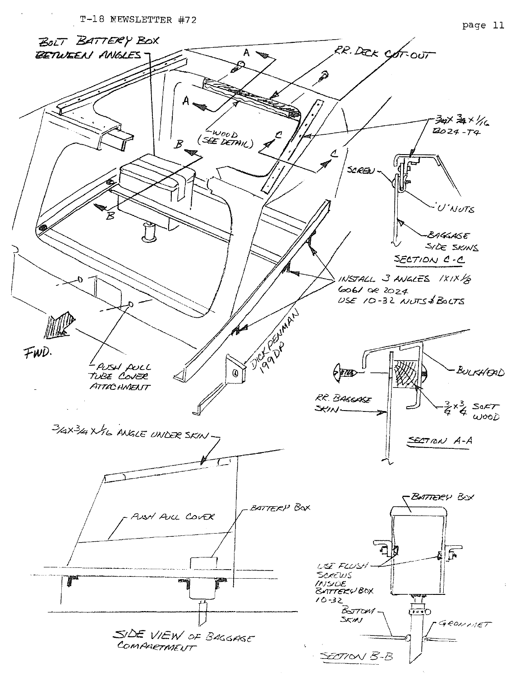T-18 NEWSLETTER #72



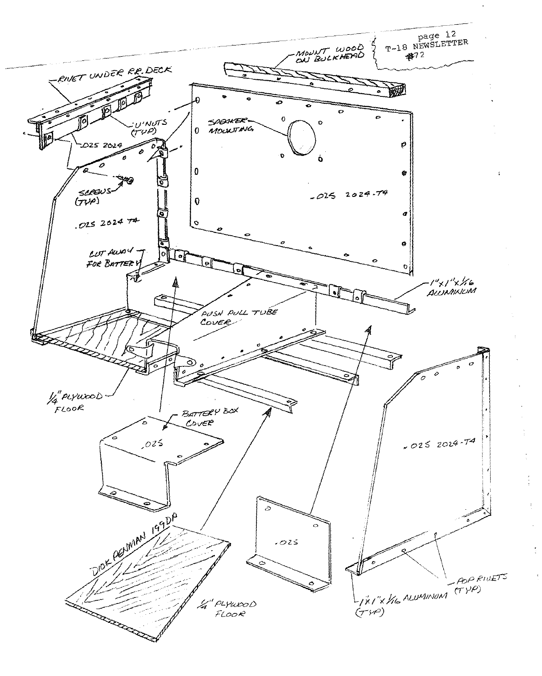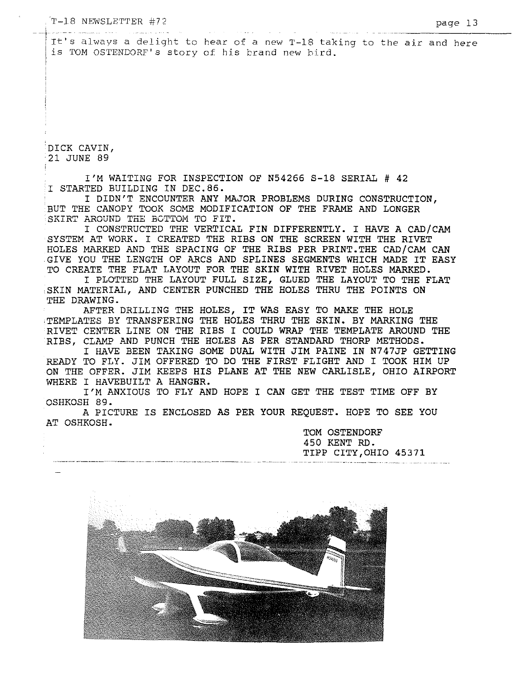--+ I It's always a delight to hear of a new T-18 taking to the air and here is TOM OSTENDORF's story of his brand new bird.

DICK CAVIN, 21 JUNE 89

i

I'M WAITING FOR INSPECTION OF N54266 S-18 SERIAL # 42 I STARTED BUILDING IN DEC.86.

I DIDN'T ENCOUNTER ANY MAJOR PROBLEMS DURING CONSTRUCTION, BUT THE CANOPY TOOK SOME MODIFICATION OF THE FRAME AND LONGER SKIRT AROUND THE BOTTOM TO FIT.

I CONSTRUCTED THE VERTICAL FIN DIFFERENTLY. I HAVE A CAD/CAM SYSTEM AT WORK. I CREATED THE RIBS ON THE SCREEN WITH THE RIVET HOLES MARKED AND THE SPACING OF THE RIBS PER PRINT.THE CAD/CAM CAN GIVE YOU THE LENGTH OF ARCS AND SPLINES SEGMENTS WHICH MADE IT EASY TO CREATE THE FLAT LAYOUT FOR THE SKIN WITH RIVET HOLES MARKED.

I PLOTTED THE LAYOUT FULL SIZE, GLUED THE LAYOUT TO THE FLAT SKIN MATERIAL, AND CENTER PUNCHED THE HOLES THRU THE POINTS ON THE DRAWING.

AFTER DRILLING THE HOLES, IT WAS EASY TO MAKE THE HOLE TEMPLATES BY TRANSFERING THE HOLES THRU THE SKIN. BY MARKING THE RIVET CENTER LINE ON THE RIBS I COULD WRAP THE TEMPLATE AROUND THE RIBS, CLAMP AND PUNCH THE HOLES AS PER STANDARD THORP METHODS.

I HAVE BEEN TAKING SOME DUAL WITH JIM PAINE IN N747JP GETTING READY TO FLY. JIM OFFERED TO DO THE FIRST FLIGHT AND I TOOK HIM UP ON THE OFFER. JIM KEEPS HIS PLANE AT THE NEW CARLISLE, OHIO AIRPORT WHERE I HAVEBUILT A HANGBR.

I'M ANXIOUS TO FLY AND HOPE I CAN GET THE TEST TIME OFF BY OSHKOSH 89.

A PICTURE IS ENCLOSED AS PER YOUR REQUEST. HOPE TO SEE YOU AT OSHKOSH.

> TOM OSTENDORF 450 KENT **RD.**  TIPP CITY,OHIO 45371

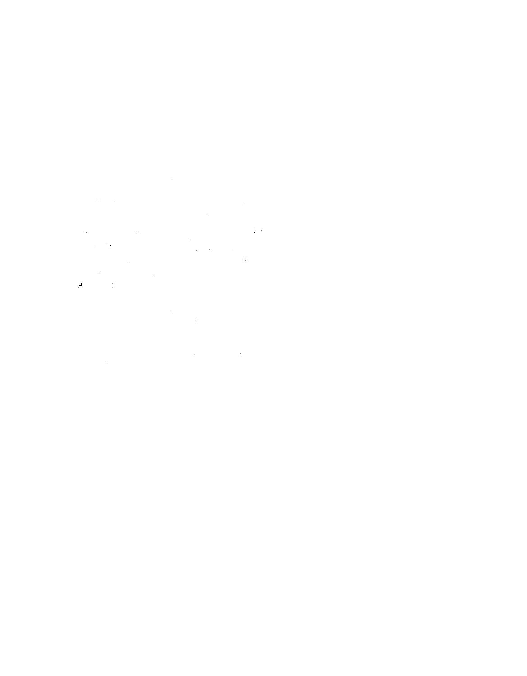$\label{eq:1.1} \frac{d\mathbf{w}}{d\mathbf{w}} = \frac{1}{\sqrt{2\pi}}\sum_{i=1}^n \frac{d\mathbf{w}}{d\mathbf{w}} \mathbf{w}_i \mathbf{w}_i \mathbf{w}_i \mathbf{w}_i \mathbf{w}_i$ 

 $\label{eq:2.1} \begin{split} \mathcal{L}_{\text{max}}(\mathbf{r}) = \mathcal{L}_{\text{max}}(\mathbf{r}) \mathcal{L}_{\text{max}}(\mathbf{r}) \,, \end{split}$ 

 $\label{eq:2.1} \frac{1}{\sqrt{2}}\int_{0}^{\infty}\frac{1}{\sqrt{2\pi}}\left(\frac{1}{\sqrt{2\pi}}\right)^{2\alpha} \frac{1}{\sqrt{2\pi}}\int_{0}^{\infty}\frac{1}{\sqrt{2\pi}}\left(\frac{1}{\sqrt{2\pi}}\right)^{\alpha} \frac{1}{\sqrt{2\pi}}\frac{1}{\sqrt{2\pi}}\int_{0}^{\infty}\frac{1}{\sqrt{2\pi}}\frac{1}{\sqrt{2\pi}}\frac{1}{\sqrt{2\pi}}\frac{1}{\sqrt{2\pi}}\frac{1}{\sqrt{2\pi}}\frac{1}{\sqrt{2\pi}}$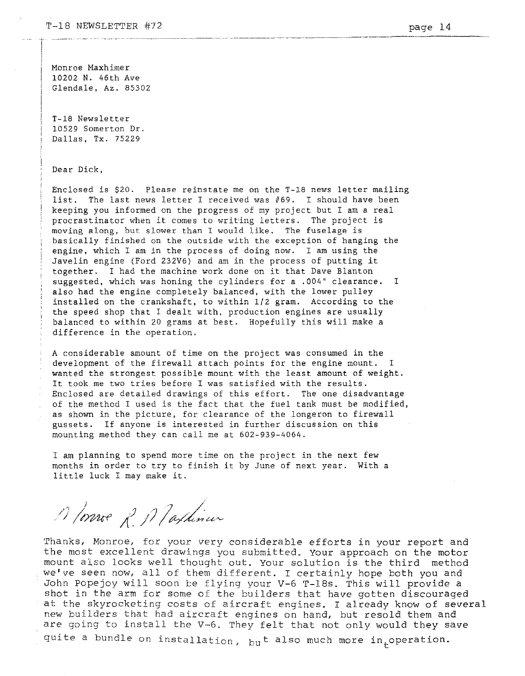Monroe Maxhimer 10202 N. 46th Ave Glendale, Az. 85302

T-18 Newsletter 10529 Somerton Dr. Dallas, Tx. 75229

**Dear Dick,** 

Enclosed is \$20. Please reinstate me on the T-18 news letter mailing list. The last news letter I received was #69. I should have been keeping you informed on the progress of my project but I am a real procrastinator when it comes to writing letters. The project is moving along, but slower than I would like. The fuselage is basically finished on the outside with the exception of hanging the engine, which I am in the process of doing now. I am using the Javelin engine (Ford 232V6) and am in the process of putting it together. I had the machine work done on it that Dave Blanton suggested, which was honing the cylinders for a .004" clearance. I also had the engine completely balanced, with the lower pulley installed on the crankshaft, to within 1/2 gram. According to the the speed shop that I dealt with, production engines are usually balanced to within 20 grams at best. Hopefully this will make a difference in the operation.

A considerable amount of time on the project was consumed in the development of the firewall attach points for the engine mount. I wanted the strongest possible mount with the least amount of weight. It took me two tries before I was satisfied with the results. Enclosed are detailed drawings of this effort. The one disadvantage of the method I used is the fact that the fuel tank must be modified, as shown in the picture, for clearance of the longeron to firewall gussets. If anyone is interested in further discussion on this mounting method they can call me at 602-939-4064.

I am planning to spend more time on the project in the next few months in order to try to finish it by June of next year. With a little luck I may make it.

A lome R. Maximur

Thanks, Monroe, for your *very* considerable efforts in your report and the most excellent drawings you submitted. Your approach on the motor mount also looks well thought out. Your solution is the third method we've seen now, all of them different. I certainly hope both you and John popejoy will soon be flying your V-6 T-lBs. This will provide a shot in the arm for some of the builders that have gotten discouraged at the skyrocketing costs of aircraft engines. I already know of several new builders that had aircraft engines on hand, but resold them and are going to install the V-6. They felt that not only would they save quite a bundle on installation, bu<sup>t</sup> also much more in<sub>t</sub>operation.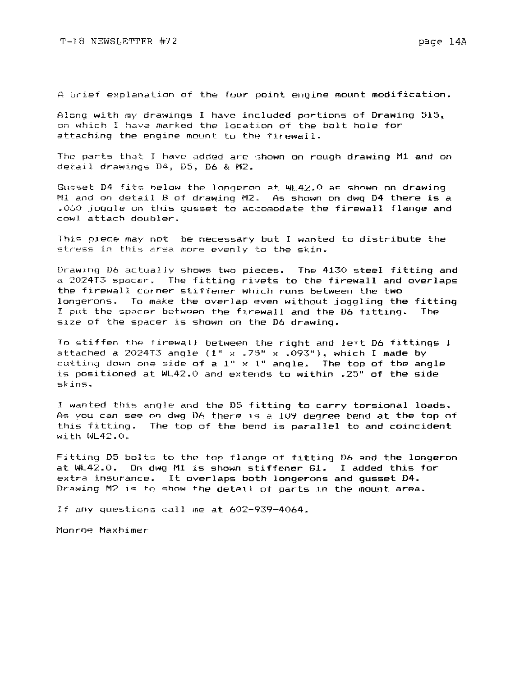A brief explanation of the four point engine mount modification.

Along with my drawings I have included portions of Drawing 515, on which I have marked the location of the bolt hole for attaching the engine mount to the firewall.

The parts that I have added are shown on rough drawing M1 and on detail drawings  $D4$  $<sub>x</sub>$   $D5$ ,  $D6$  & M2.</sub>

Gusset  $D4$  fits below the longeron at WL42.0 as shown on drawing M1 and on detail B of drawing M2. As shown on dwg  $D4$  there is a .060 joggle on this gusset to accomodate the firewall flange and cow) attach doubler.

This piece may not be necessary but I wanted to distribute the stress in this area more evenly to the skin.

Dr'awing D6 actually shows two pieces. The 4130 steel fitting and a 2024T3 spacer. The fitting rivets to the firewall and overlaps the firewall corner stiffener which runs between the two longerons. To make the overlap even without joggling the fitting I put the spacer between the firewall and the D6 fitting. The size of the spacer is shown on the D6 drawing.

To stiffen the firewall between the right and left D6 fittings I attached a 2024T3 angle (1"  $\times$  .75"  $\times$  .093"), which I made by cutting down one side of a  $1''$  x  $1''$  angle. The top of the angle is positioned at WL42.0 and extends to within .25" of the side skins.

<sup>I</sup>wanted this angle and the D5 fitting to carry torsional loads. As you can see on dwg D6 there is a 109 degree bend at the top of this fitting. The top of the bend is parallel to and coincident with WL42.0.

Fitting D5 bolts to the top flange of fitting D6 and the longeron at WL42.0. On dwg M1 is shown stiffener S1. I added this for extra insurance. It overlaps both longerons and gusset  $D4$ . Drawing M2 is to show the detail of parts in the mount area.

If any questions call me at 602-939-4064.

Monroe Maxhimer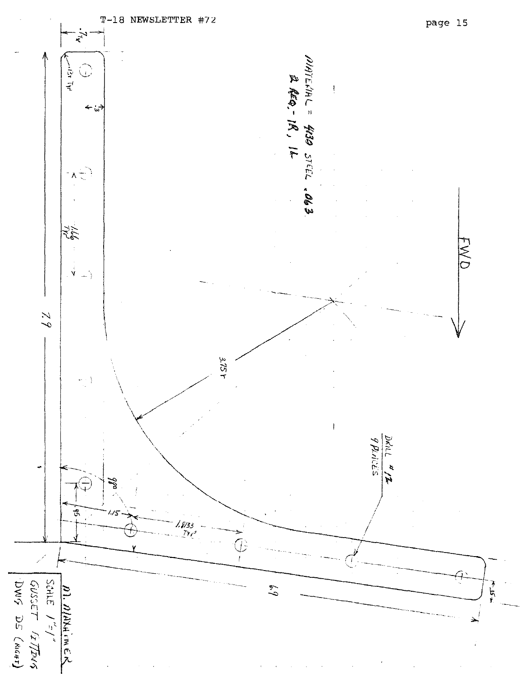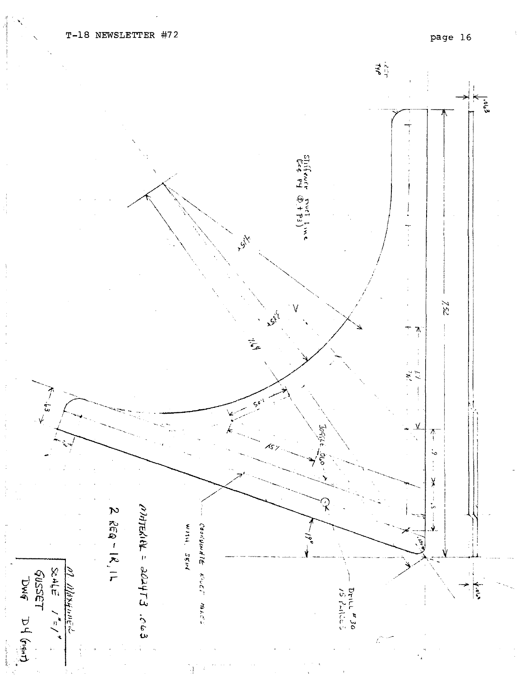

T-18 NEWSLETTER #72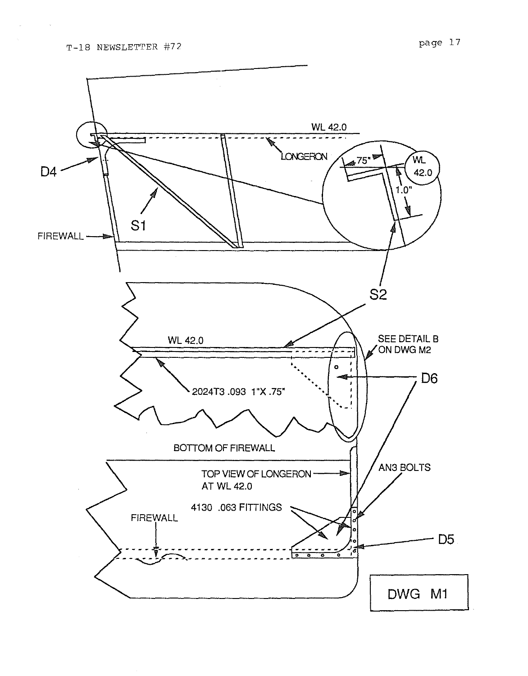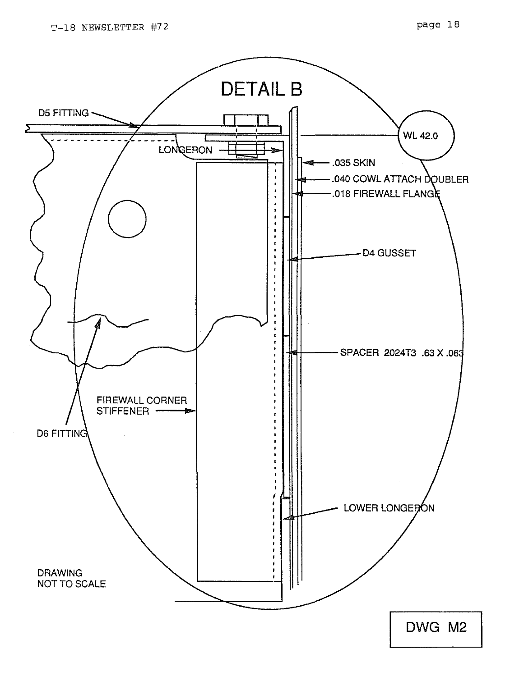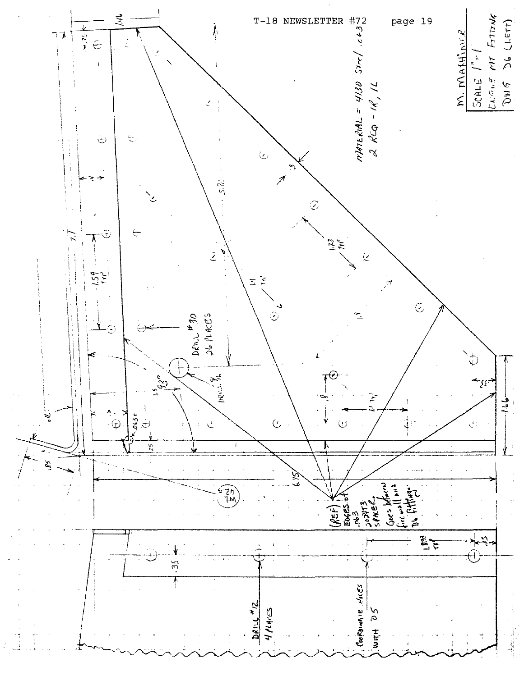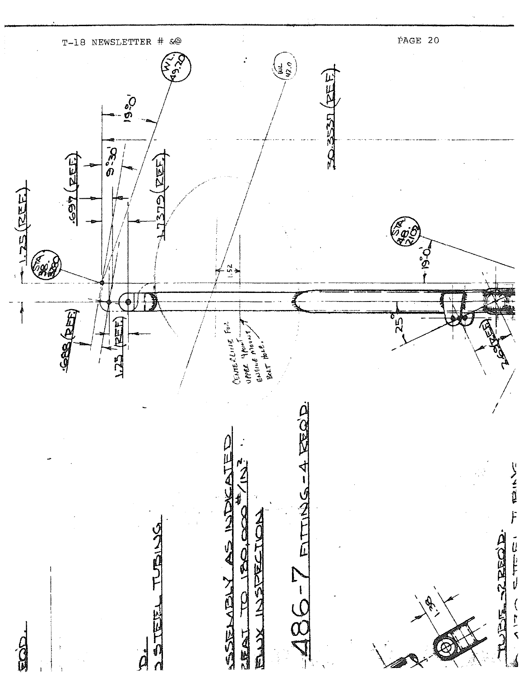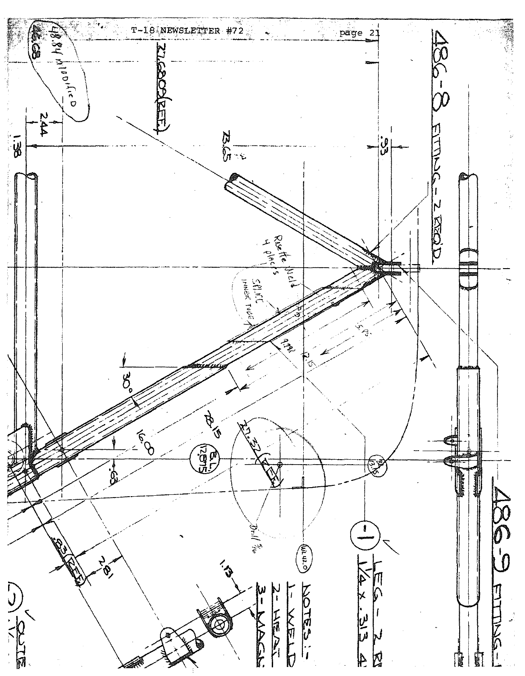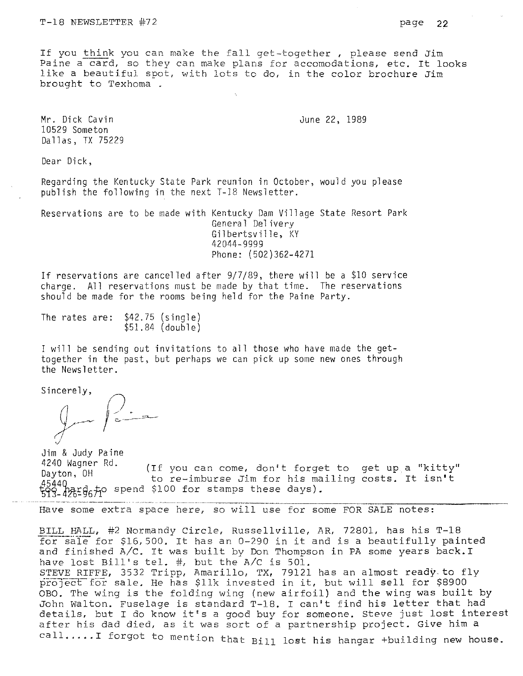If you think you can make the fall get-together , please send Jim Paine a card, so they can make plans for accomodations, etc. It looks like a beautiful spot, with lots to do, in the color brochure Jim brought to Texhoma .

June 22, 1989

**Mr.** Dick Cavin 10529 Someton Dallas, TX 75229

Dear Dick,

Regarding the Kentucky State Park reunion in October, would you please publish the following in the next T-18 Newsletter.

Reservations are to be made with Kentucky Dam Village State Resort Park Genera 1 Del ivery Gilbertsville, KY 42044-9999 Phone: (502)362-4271

If reservations are cancelled after 9/7/89, there will be a \$10 service charge. All reservations must be made by that time. The reservations should be made for the rooms being held for the Paine Party.

The rates are: \$42.75 (single) \$51.84 (double)

I will be sending out invitations to all those who have made the gettogether in the past, but perhaps we can pick up some new ones through the Newsletter.

Sincerely,  $\int$ 

Jim & Judy Paine 4240 Wagner Rd. <sup>D</sup>t OH (If you can come, don't forget to get up a "kitty" dim & Judy Paine<br>
4240 Wagner Rd. (If you can come, don't forget to<br>
Dayton, OH . (If you can come, don't forget to<br>
45440<br>
533-425-9670 spend \$100 for stamps these days). to re-imburse Jim for his mailing costs. It isn't

Have some extra space here, so will use for some FOR SALE notes:

BILL HALL, #2 Normandy Circle, Russellville, AR, 72801, has his T-18 for sale for \$16,500. It has an 0-290 in it and is a beautifully painted and finished A/C. It was built by Don Thompson in PA some years back.I have lost Bill's tel. #, but the A/C is 501. STEVE RIFFE, 3532 Tripp, Amarillo, TX, 79121 has an almost ready to fly project for sale. He has \$llk invested in it, but will sell for \$8900 OBO. The wing is the folding wing (new airfoil) and the wing was built by John walton. Fuselage is standard T-18. I can't find his letter that had details, but I do know it's a good buy for someone. steve just lost interest after his dad died, as it was sort of a partnership project. Give him a call..... I forgot to mention that Bill lost his hangar +building new house.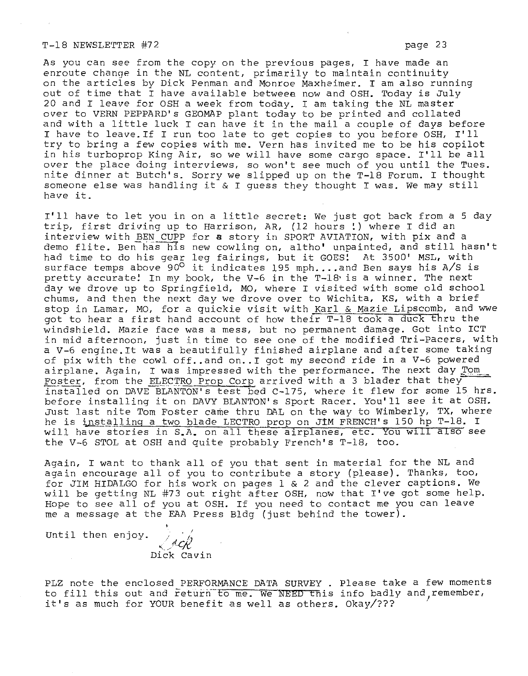#### T-18 NEWSLETTER #72 page 23

As you can see from the copy on the previous pages, I have made an enroute change in the NL content, primarily to maintain continuity on the articles by Dick Penman and Monroe Maxheimer. I am also running out of time that I have available betweee now and OSH. Today is July 20 and I leave for OSH a week from today. I am taking the NL master *over* to VERN PEPPARD's GEOMAP plant today to be printed and collated and with a little luck I can *have* it in the mail a couple of days before <sup>I</sup>*have* to leave.If I run too late to get copies to you before OSH, I'll try to bring a few copies with me. Vern has invited me to be his copilot in his turboprop King Air, so we will *have* some cargo space. I'll be all *over* the place doing interviews, so won't see much of you until the Tues. nite dinner at Butch's. Sorry we slipped up on the T-18 Forum. I thought someone else was handling it & I guess they thought I was. We may still ha *ve* it.

I'll *have* to let you in on a little secret: We just got back from a 5 day trip, first driving up to Harrison, AR, (12 hours :) where I did an interview with BEN CUPP for a story in SPORT AVIATION, with pix and a demo flite. Ben-has his new cowling on, altho' unpainted, and still hasn't had time to do his gear leg fairings, but it GOES! At 3500' MSL, with nad time to do his gear leg fairings, but it GOES: At 3500 MSL, with<br>surface temps above 90<sup>0</sup> it indicates 195 mph....and Ben says his A/S is pretty accurate! In my book, the V-6 in the T-18' is a winner. The next day we drove up to Springfield, MO, where I visited with some old school chums, and then the next day we drove *over* to Wichita, KS, with a brief stop in Lamar, MO, for a quickie visit with Karl & Mazie Lipscomb, and wwe got to hear a first hand account of how their T-18 took a duck thru the windshield. Mazie face was a mess, but no permanent damage. Got into ICT in mid afternoon, just in time to see one of the modified Tri-Pacers, with a V-6 engine.It was a beautifully finished airplane and after some taking of pix with the cowl off..and on..I got my second ride in a V-6 powered airplane. Again, I was impressed with the performance. The next day Tom Foster, from the ELECTRO Prop Corp arrived with a 3 blader that they installed on DAVE BLANTON's test bed C-175, where it flew for some 15 hrs. before installing it on DAVY BLANTON's Sport Racer. You'll see it at OSH. Just last nite Tom Foster came thru DAL on the way to Wimberly, TX, where he is installing a two blade LECTRO prop on JIM FRENCH's 150 hp T-18. I will have stories in S<sub>.</sub>A. on all these airplanes, etc. You will also see the V-6 STOL at OSH and quite probably French's T-18, too.

Again, I want to thank all of you that sent in material for the NL and again encourage all of you to contribute a story (please). Thanks, too, for JIM HIDALGO for his work on pages 1 & 2 and the clever captions. We will be getting NL #73 out right after OSH, now that I've got some help. Hope to see all of you at OSH. If you need to contact me you can leave me a message at the EAA Press Bldg (just behind the tower).

Until then enjoy.

Dick Cavin

PLZ note the enclosed PERFORMANCE DATA SURVEY . Please take a few moments to fill this out and return to me. We **NEED** this info badly and/remember, co fill this out and return to me. We NEED this info badiy<br>it's as much for YOUR benefit as well as others. Okay/???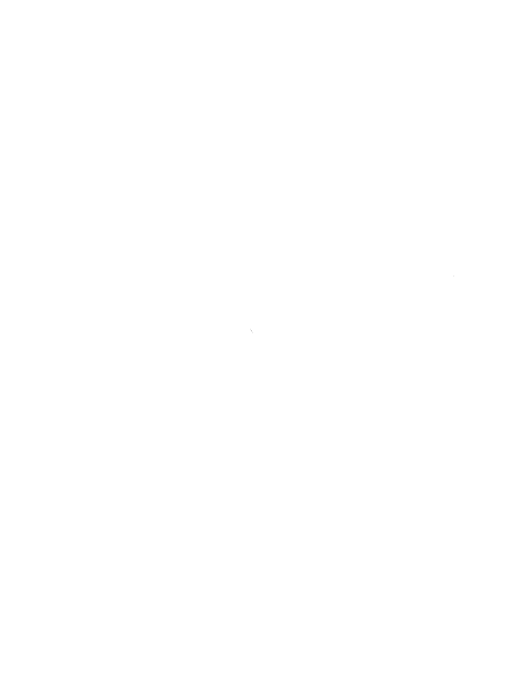$\label{eq:2.1} \frac{1}{2} \sum_{i=1}^n \frac{1}{2} \sum_{j=1}^n \frac{1}{2} \sum_{j=1}^n \frac{1}{2} \sum_{j=1}^n \frac{1}{2} \sum_{j=1}^n \frac{1}{2} \sum_{j=1}^n \frac{1}{2} \sum_{j=1}^n \frac{1}{2} \sum_{j=1}^n \frac{1}{2} \sum_{j=1}^n \frac{1}{2} \sum_{j=1}^n \frac{1}{2} \sum_{j=1}^n \frac{1}{2} \sum_{j=1}^n \frac{1}{2} \sum_{j=1}^n \frac{$